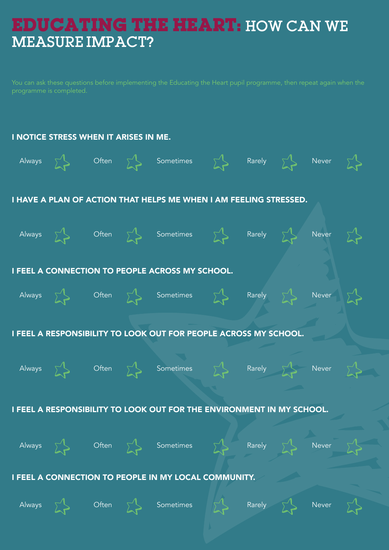## **EDUCATING THE HEART:** HOW CAN WE MEASURE IMPACT?

You can ask these questions before implementing the Educating the Heart pupil programme, then repeat again when the programme is completed.